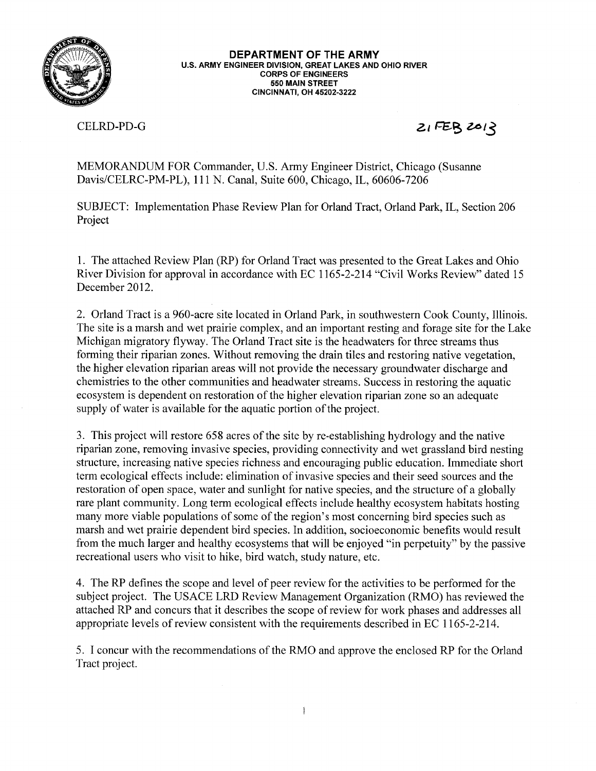

CELRD-PD-G

 $21FEB2012$ 

MEMORANDUM FOR Commander, U.S. Army Engineer District, Chicago (Susanne Davis/CELRC-PM-PL), 111 N. Canal, Suite 600, Chicago, IL, 60606-7206

SUBJECT: Implementation Phase Review Plan for Orland Tract, Orland Park, IL, Section 206 Project

1. The attached Review Plan (RP) for Orland Tract was presented to the Great Lakes and Ohio River Division for approval in accordance with EC 1165-2-214 "Civil Works Review" dated 15 December 2012.

2. Orland Tract is a 960-acre site located in Orland Park, in southwestern Cook County, Illinois. The site is a marsh and wet prairie complex, and an important resting and forage site for the Lake Michigan migratory flyway. The Orland Tract site is the headwaters for three streams thus forming their riparian zones. Without removing the drain tiles and restoring native vegetation, the higher elevation riparian areas will not provide the necessary groundwater discharge and chemistries to the other communities and headwater streams. Success in restoring the aquatic ecosystem is dependent on restoration of the higher elevation riparian zone so an adequate supply of water is available for the aquatic portion of the project.

3. This project will restore 658 acres of the site by re-establishing hydrology and the native riparian zone, removing invasive species, providing connectivity and wet grassland bird nesting structure, increasing native species richness and encouraging public education. Immediate short term ecological effects include: elimination of invasive species and their seed sources and the restoration of open space, water and sunlight for native species, and the structure of a globally rare plant community. Long term ecological effects include healthy ecosystem habitats hosting many more viable populations of some of the region's most concerning bird species such as marsh and wet prairie dependent bird species. In addition, socioeconomic benefits would result from the much larger and healthy ecosystems that will be enjoyed "in perpetuity" by the passive recreational users who visit to hike, bird watch, study nature, etc.

4. The RP defines the scope and level of peer review for the activities to be performed for the subject project. The USACE LRD Review Management Organization (RMO) has reviewed the attached RP and concurs that it describes the scope of review for work phases and addresses all appropriate levels of review consistent with the requirements described in EC 1165-2-214.

5. I concur with the recommendations of the RMO and approve the enclosed RP for the Orland Tract project.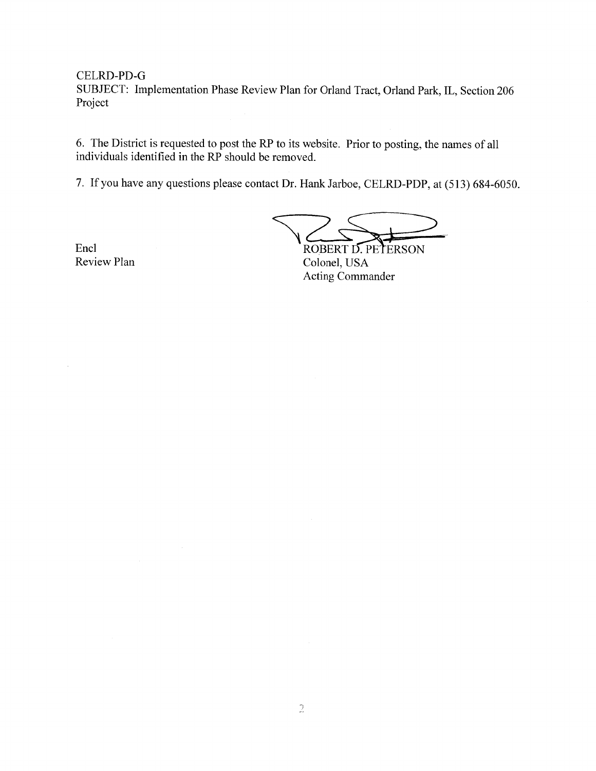CELRD-PD-G

SUBJECT: Implementation Phase Review Plan for Orland Tract, Orland Park, IL, Section 206 Project

6. The District is requested to post the RP to its website. Prior to posting, the names of all individuals identified in the RP should be removed.

7. If you have any questions please contact Dr. Hank Jarboe, CELRD-PDP, at (513) 684-6050.

ROBERT D. PETERSON

Encl Review Plan

Colonel, USA **Acting Commander**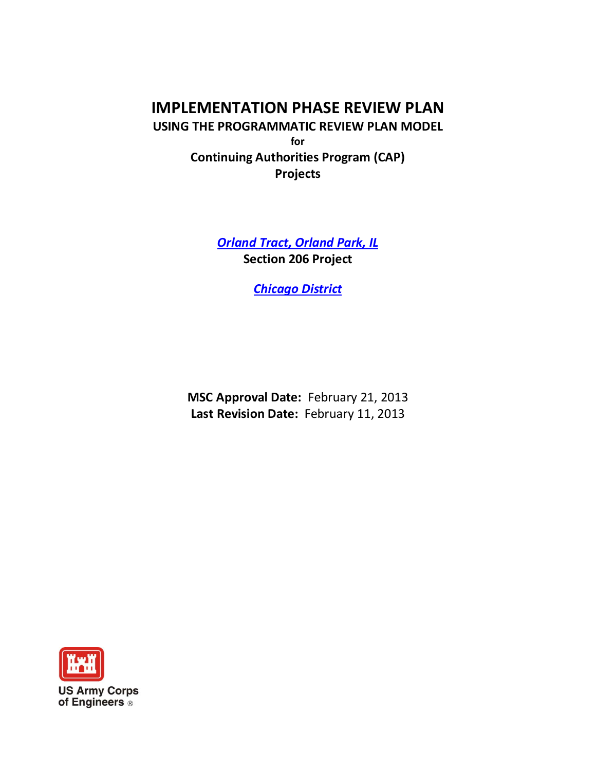# **IMPLEMENTATION PHASE REVIEW PLAN**

**USING THE PROGRAMMATIC REVIEW PLAN MODEL for Continuing Authorities Program (CAP) Projects**

> *Orland Tract, Orland Park, IL* **Section 206 Project**

> > *Chicago District*

**MSC Approval Date:** February 21, 2013 **Last Revision Date:** February 11, 2013

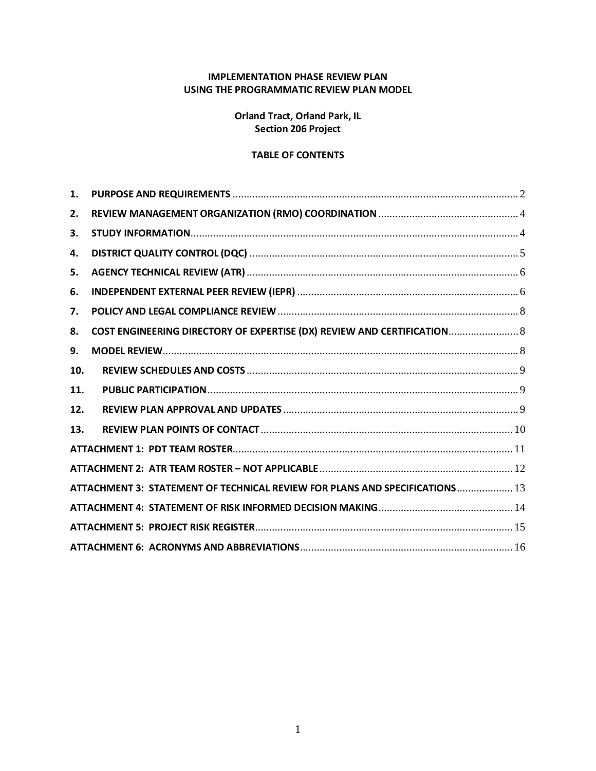### **IMPLEMENTATION PHASE REVIEW PLAN USING THE PROGRAMMATIC REVIEW PLAN MODEL**

**Orland Tract, Orland Park, IL Section 206 Project**

### **TABLE OF CONTENTS**

| 1.  |                                                                             |
|-----|-----------------------------------------------------------------------------|
| 2.  |                                                                             |
| 3.  |                                                                             |
| 4.  |                                                                             |
| 5.  |                                                                             |
| 6.  |                                                                             |
| 7.  |                                                                             |
| 8.  | COST ENGINEERING DIRECTORY OF EXPERTISE (DX) REVIEW AND CERTIFICATION 8     |
| 9.  |                                                                             |
| 10. |                                                                             |
| 11. |                                                                             |
| 12. |                                                                             |
| 13. |                                                                             |
|     |                                                                             |
|     |                                                                             |
|     | ATTACHMENT 3: STATEMENT OF TECHNICAL REVIEW FOR PLANS AND SPECIFICATIONS 13 |
|     |                                                                             |
|     |                                                                             |
|     |                                                                             |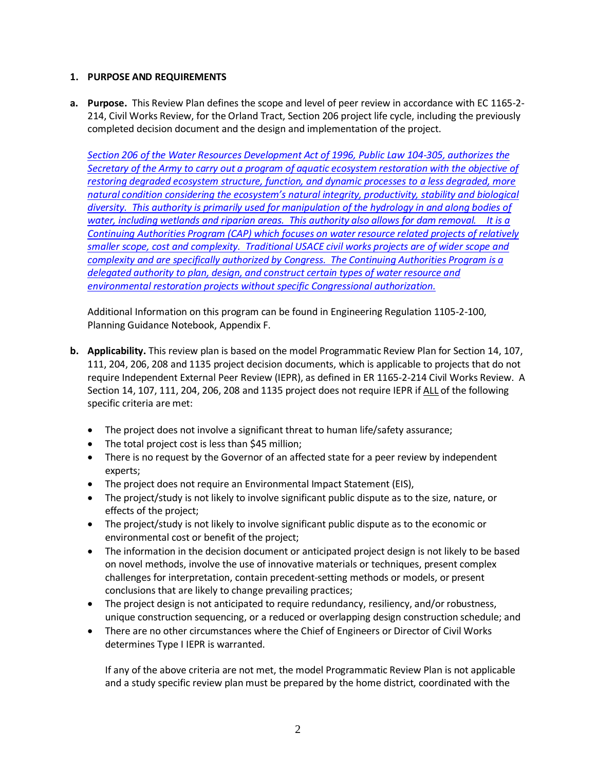### <span id="page-4-0"></span>**1. PURPOSE AND REQUIREMENTS**

**a. Purpose.** This Review Plan defines the scope and level of peer review in accordance with EC 1165-2- 214, Civil Works Review, for the Orland Tract, Section 206 project life cycle, including the previously completed decision document and the design and implementation of the project.

*Section 206 of the Water Resources Development Act of 1996, Public Law 104-305, authorizes the Secretary of the Army to carry out a program of aquatic ecosystem restoration with the objective of restoring degraded ecosystem structure, function, and dynamic processes to a less degraded, more natural condition considering the ecosystem's natural integrity, productivity, stability and biological diversity. This authority is primarily used for manipulation of the hydrology in and along bodies of water, including wetlands and riparian areas. This authority also allows for dam removal. It is a Continuing Authorities Program (CAP) which focuses on water resource related projects of relatively smaller scope, cost and complexity. Traditional USACE civil works projects are of wider scope and complexity and are specifically authorized by Congress. The Continuing Authorities Program is a delegated authority to plan, design, and construct certain types of water resource and environmental restoration projects without specific Congressional authorization.*

Additional Information on this program can be found in Engineering Regulation 1105-2-100, Planning Guidance Notebook, Appendix F.

- **b. Applicability.** This review plan is based on the model Programmatic Review Plan for Section 14, 107, 111, 204, 206, 208 and 1135 project decision documents, which is applicable to projects that do not require Independent External Peer Review (IEPR), as defined in ER 1165-2-214 Civil Works Review. A Section 14, 107, 111, 204, 206, 208 and 1135 project does not require IEPR if ALL of the following specific criteria are met:
	- The project does not involve a significant threat to human life/safety assurance;
	- The total project cost is less than \$45 million;
	- There is no request by the Governor of an affected state for a peer review by independent experts;
	- The project does not require an Environmental Impact Statement (EIS),
	- The project/study is not likely to involve significant public dispute as to the size, nature, or effects of the project;
	- The project/study is not likely to involve significant public dispute as to the economic or environmental cost or benefit of the project;
	- The information in the decision document or anticipated project design is not likely to be based on novel methods, involve the use of innovative materials or techniques, present complex challenges for interpretation, contain precedent-setting methods or models, or present conclusions that are likely to change prevailing practices;
	- The project design is not anticipated to require redundancy, resiliency, and/or robustness, unique construction sequencing, or a reduced or overlapping design construction schedule; and
	- There are no other circumstances where the Chief of Engineers or Director of Civil Works determines Type I IEPR is warranted.

If any of the above criteria are not met, the model Programmatic Review Plan is not applicable and a study specific review plan must be prepared by the home district, coordinated with the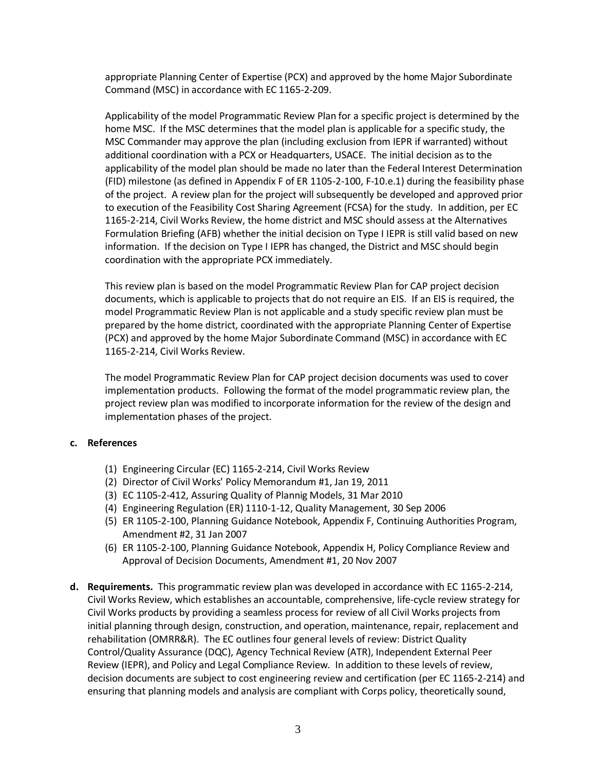appropriate Planning Center of Expertise (PCX) and approved by the home Major Subordinate Command (MSC) in accordance with EC 1165-2-209.

Applicability of the model Programmatic Review Plan for a specific project is determined by the home MSC. If the MSC determines that the model plan is applicable for a specific study, the MSC Commander may approve the plan (including exclusion from IEPR if warranted) without additional coordination with a PCX or Headquarters, USACE. The initial decision as to the applicability of the model plan should be made no later than the Federal Interest Determination (FID) milestone (as defined in Appendix F of ER 1105-2-100, F-10.e.1) during the feasibility phase of the project. A review plan for the project will subsequently be developed and approved prior to execution of the Feasibility Cost Sharing Agreement (FCSA) for the study. In addition, per EC 1165-2-214, Civil Works Review, the home district and MSC should assess at the Alternatives Formulation Briefing (AFB) whether the initial decision on Type I IEPR is still valid based on new information. If the decision on Type I IEPR has changed, the District and MSC should begin coordination with the appropriate PCX immediately.

This review plan is based on the model Programmatic Review Plan for CAP project decision documents, which is applicable to projects that do not require an EIS. If an EIS is required, the model Programmatic Review Plan is not applicable and a study specific review plan must be prepared by the home district, coordinated with the appropriate Planning Center of Expertise (PCX) and approved by the home Major Subordinate Command (MSC) in accordance with EC 1165-2-214, Civil Works Review.

The model Programmatic Review Plan for CAP project decision documents was used to cover implementation products. Following the format of the model programmatic review plan, the project review plan was modified to incorporate information for the review of the design and implementation phases of the project.

#### **c. References**

- (1) Engineering Circular (EC) 1165-2-214, Civil Works Review
- (2) Director of Civil Works' Policy Memorandum #1, Jan 19, 2011
- (3) EC 1105-2-412, Assuring Quality of Plannig Models, 31 Mar 2010
- (4) Engineering Regulation (ER) 1110-1-12, Quality Management, 30 Sep 2006
- (5) ER 1105-2-100, Planning Guidance Notebook, Appendix F, Continuing Authorities Program, Amendment #2, 31 Jan 2007
- (6) ER 1105-2-100, Planning Guidance Notebook, Appendix H, Policy Compliance Review and Approval of Decision Documents, Amendment #1, 20 Nov 2007
- **d. Requirements.** This programmatic review plan was developed in accordance with EC 1165-2-214, Civil Works Review, which establishes an accountable, comprehensive, life-cycle review strategy for Civil Works products by providing a seamless process for review of all Civil Works projects from initial planning through design, construction, and operation, maintenance, repair, replacement and rehabilitation (OMRR&R). The EC outlines four general levels of review: District Quality Control/Quality Assurance (DQC), Agency Technical Review (ATR), Independent External Peer Review (IEPR), and Policy and Legal Compliance Review. In addition to these levels of review, decision documents are subject to cost engineering review and certification (per EC 1165-2-214) and ensuring that planning models and analysis are compliant with Corps policy, theoretically sound,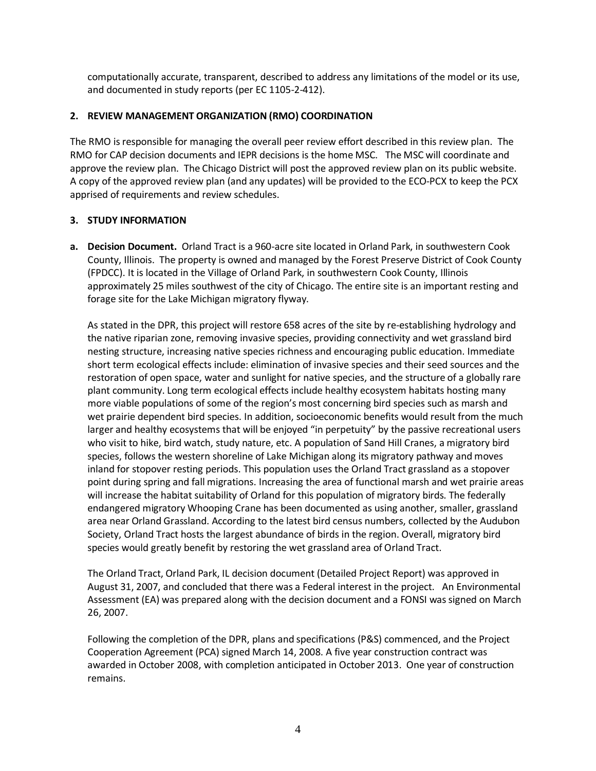computationally accurate, transparent, described to address any limitations of the model or its use, and documented in study reports (per EC 1105-2-412).

### <span id="page-6-0"></span>**2. REVIEW MANAGEMENT ORGANIZATION (RMO) COORDINATION**

The RMO is responsible for managing the overall peer review effort described in this review plan. The RMO for CAP decision documents and IEPR decisions is the home MSC. The MSC will coordinate and approve the review plan. The Chicago District will post the approved review plan on its public website. A copy of the approved review plan (and any updates) will be provided to the ECO-PCX to keep the PCX apprised of requirements and review schedules.

#### <span id="page-6-1"></span>**3. STUDY INFORMATION**

**a. Decision Document.** Orland Tract is a 960-acre site located in Orland Park, in southwestern Cook County, Illinois. The property is owned and managed by the Forest Preserve District of Cook County (FPDCC). It is located in the Village of Orland Park, in southwestern Cook County, Illinois approximately 25 miles southwest of the city of Chicago. The entire site is an important resting and forage site for the Lake Michigan migratory flyway.

As stated in the DPR, this project will restore 658 acres of the site by re-establishing hydrology and the native riparian zone, removing invasive species, providing connectivity and wet grassland bird nesting structure, increasing native species richness and encouraging public education. Immediate short term ecological effects include: elimination of invasive species and their seed sources and the restoration of open space, water and sunlight for native species, and the structure of a globally rare plant community. Long term ecological effects include healthy ecosystem habitats hosting many more viable populations of some of the region's most concerning bird species such as marsh and wet prairie dependent bird species. In addition, socioeconomic benefits would result from the much larger and healthy ecosystems that will be enjoyed "in perpetuity" by the passive recreational users who visit to hike, bird watch, study nature, etc. A population of Sand Hill Cranes, a migratory bird species, follows the western shoreline of Lake Michigan along its migratory pathway and moves inland for stopover resting periods. This population uses the Orland Tract grassland as a stopover point during spring and fall migrations. Increasing the area of functional marsh and wet prairie areas will increase the habitat suitability of Orland for this population of migratory birds. The federally endangered migratory Whooping Crane has been documented as using another, smaller, grassland area near Orland Grassland. According to the latest bird census numbers, collected by the Audubon Society, Orland Tract hosts the largest abundance of birds in the region. Overall, migratory bird species would greatly benefit by restoring the wet grassland area of Orland Tract.

The Orland Tract, Orland Park, IL decision document (Detailed Project Report) was approved in August 31, 2007, and concluded that there was a Federal interest in the project. An Environmental Assessment (EA) was prepared along with the decision document and a FONSI was signed on March 26, 2007.

Following the completion of the DPR, plans and specifications (P&S) commenced, and the Project Cooperation Agreement (PCA) signed March 14, 2008. A five year construction contract was awarded in October 2008, with completion anticipated in October 2013. One year of construction remains.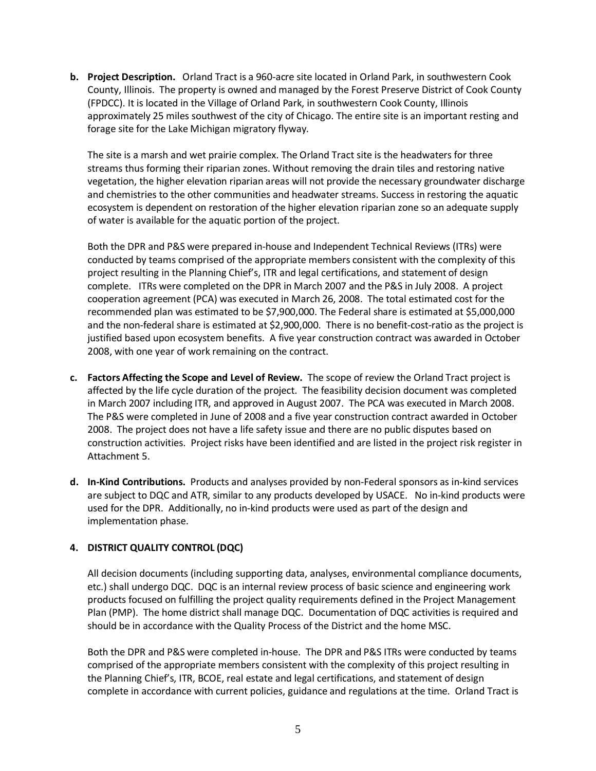**b. Project Description.** Orland Tract is a 960-acre site located in Orland Park, in southwestern Cook County, Illinois. The property is owned and managed by the Forest Preserve District of Cook County (FPDCC). It is located in the Village of Orland Park, in southwestern Cook County, Illinois approximately 25 miles southwest of the city of Chicago. The entire site is an important resting and forage site for the Lake Michigan migratory flyway.

The site is a marsh and wet prairie complex. The Orland Tract site is the headwaters for three streams thus forming their riparian zones. Without removing the drain tiles and restoring native vegetation, the higher elevation riparian areas will not provide the necessary groundwater discharge and chemistries to the other communities and headwater streams. Success in restoring the aquatic ecosystem is dependent on restoration of the higher elevation riparian zone so an adequate supply of water is available for the aquatic portion of the project.

Both the DPR and P&S were prepared in-house and Independent Technical Reviews (ITRs) were conducted by teams comprised of the appropriate members consistent with the complexity of this project resulting in the Planning Chief's, ITR and legal certifications, and statement of design complete. ITRs were completed on the DPR in March 2007 and the P&S in July 2008. A project cooperation agreement (PCA) was executed in March 26, 2008. The total estimated cost for the recommended plan was estimated to be \$7,900,000. The Federal share is estimated at \$5,000,000 and the non-federal share is estimated at \$2,900,000. There is no benefit-cost-ratio as the project is justified based upon ecosystem benefits. A five year construction contract was awarded in October 2008, with one year of work remaining on the contract.

- **c. Factors Affecting the Scope and Level of Review.** The scope of review the Orland Tract project is affected by the life cycle duration of the project. The feasibility decision document was completed in March 2007 including ITR, and approved in August 2007. The PCA was executed in March 2008. The P&S were completed in June of 2008 and a five year construction contract awarded in October 2008. The project does not have a life safety issue and there are no public disputes based on construction activities. Project risks have been identified and are listed in the project risk register in Attachment 5.
- **d. In-Kind Contributions.** Products and analyses provided by non-Federal sponsors as in-kind services are subject to DQC and ATR, similar to any products developed by USACE. No in-kind products were used for the DPR. Additionally, no in-kind products were used as part of the design and implementation phase.

### <span id="page-7-0"></span>**4. DISTRICT QUALITY CONTROL (DQC)**

All decision documents (including supporting data, analyses, environmental compliance documents, etc.) shall undergo DQC. DQC is an internal review process of basic science and engineering work products focused on fulfilling the project quality requirements defined in the Project Management Plan (PMP). The home district shall manage DQC. Documentation of DQC activities is required and should be in accordance with the Quality Process of the District and the home MSC.

Both the DPR and P&S were completed in-house. The DPR and P&S ITRs were conducted by teams comprised of the appropriate members consistent with the complexity of this project resulting in the Planning Chief's, ITR, BCOE, real estate and legal certifications, and statement of design complete in accordance with current policies, guidance and regulations at the time. Orland Tract is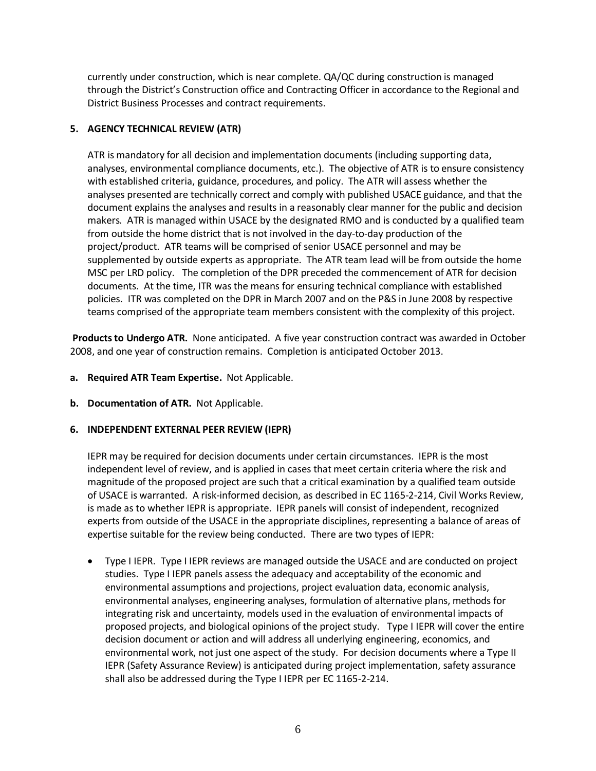currently under construction, which is near complete. QA/QC during construction is managed through the District's Construction office and Contracting Officer in accordance to the Regional and District Business Processes and contract requirements.

### <span id="page-8-0"></span>**5. AGENCY TECHNICAL REVIEW (ATR)**

ATR is mandatory for all decision and implementation documents (including supporting data, analyses, environmental compliance documents, etc.). The objective of ATR is to ensure consistency with established criteria, guidance, procedures, and policy. The ATR will assess whether the analyses presented are technically correct and comply with published USACE guidance, and that the document explains the analyses and results in a reasonably clear manner for the public and decision makers. ATR is managed within USACE by the designated RMO and is conducted by a qualified team from outside the home district that is not involved in the day-to-day production of the project/product. ATR teams will be comprised of senior USACE personnel and may be supplemented by outside experts as appropriate. The ATR team lead will be from outside the home MSC per LRD policy. The completion of the DPR preceded the commencement of ATR for decision documents. At the time, ITR was the means for ensuring technical compliance with established policies. ITR was completed on the DPR in March 2007 and on the P&S in June 2008 by respective teams comprised of the appropriate team members consistent with the complexity of this project.

**Products to Undergo ATR.** None anticipated. A five year construction contract was awarded in October 2008, and one year of construction remains. Completion is anticipated October 2013.

- **a. Required ATR Team Expertise.** Not Applicable.
- **b. Documentation of ATR.** Not Applicable.

### <span id="page-8-1"></span>**6. INDEPENDENT EXTERNAL PEER REVIEW (IEPR)**

IEPR may be required for decision documents under certain circumstances. IEPR is the most independent level of review, and is applied in cases that meet certain criteria where the risk and magnitude of the proposed project are such that a critical examination by a qualified team outside of USACE is warranted. A risk-informed decision, as described in EC 1165-2-214, Civil Works Review, is made as to whether IEPR is appropriate. IEPR panels will consist of independent, recognized experts from outside of the USACE in the appropriate disciplines, representing a balance of areas of expertise suitable for the review being conducted. There are two types of IEPR:

• Type I IEPR. Type I IEPR reviews are managed outside the USACE and are conducted on project studies. Type I IEPR panels assess the adequacy and acceptability of the economic and environmental assumptions and projections, project evaluation data, economic analysis, environmental analyses, engineering analyses, formulation of alternative plans, methods for integrating risk and uncertainty, models used in the evaluation of environmental impacts of proposed projects, and biological opinions of the project study. Type I IEPR will cover the entire decision document or action and will address all underlying engineering, economics, and environmental work, not just one aspect of the study. For decision documents where a Type II IEPR (Safety Assurance Review) is anticipated during project implementation, safety assurance shall also be addressed during the Type I IEPR per EC 1165-2-214.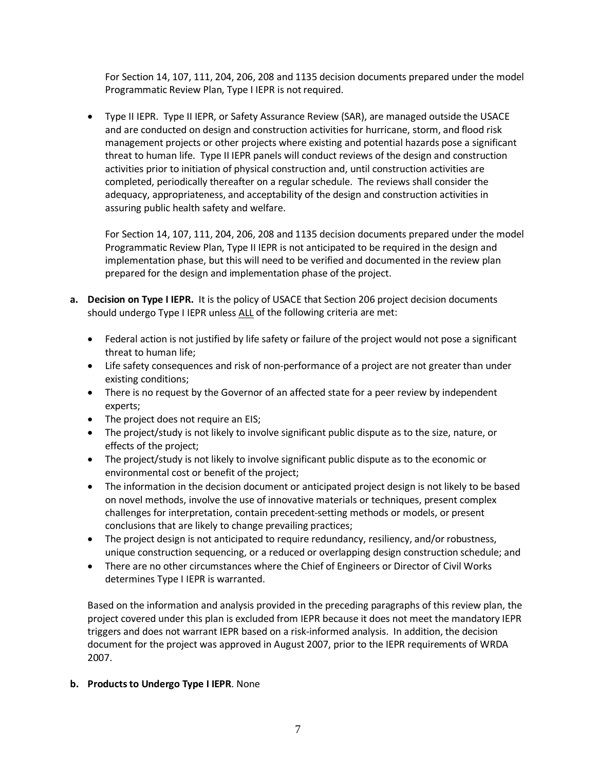For Section 14, 107, 111, 204, 206, 208 and 1135 decision documents prepared under the model Programmatic Review Plan, Type I IEPR is not required.

• Type II IEPR. Type II IEPR, or Safety Assurance Review (SAR), are managed outside the USACE and are conducted on design and construction activities for hurricane, storm, and flood risk management projects or other projects where existing and potential hazards pose a significant threat to human life. Type II IEPR panels will conduct reviews of the design and construction activities prior to initiation of physical construction and, until construction activities are completed, periodically thereafter on a regular schedule. The reviews shall consider the adequacy, appropriateness, and acceptability of the design and construction activities in assuring public health safety and welfare.

For Section 14, 107, 111, 204, 206, 208 and 1135 decision documents prepared under the model Programmatic Review Plan, Type II IEPR is not anticipated to be required in the design and implementation phase, but this will need to be verified and documented in the review plan prepared for the design and implementation phase of the project.

- **a. Decision on Type I IEPR.** It is the policy of USACE that Section 206 project decision documents should undergo Type I IEPR unless ALL of the following criteria are met:
	- Federal action is not justified by life safety or failure of the project would not pose a significant threat to human life;
	- Life safety consequences and risk of non-performance of a project are not greater than under existing conditions;
	- There is no request by the Governor of an affected state for a peer review by independent experts;
	- The project does not require an EIS;
	- The project/study is not likely to involve significant public dispute as to the size, nature, or effects of the project;
	- The project/study is not likely to involve significant public dispute as to the economic or environmental cost or benefit of the project;
	- The information in the decision document or anticipated project design is not likely to be based on novel methods, involve the use of innovative materials or techniques, present complex challenges for interpretation, contain precedent-setting methods or models, or present conclusions that are likely to change prevailing practices;
	- The project design is not anticipated to require redundancy, resiliency, and/or robustness, unique construction sequencing, or a reduced or overlapping design construction schedule; and
	- There are no other circumstances where the Chief of Engineers or Director of Civil Works determines Type I IEPR is warranted.

Based on the information and analysis provided in the preceding paragraphs of this review plan, the project covered under this plan is excluded from IEPR because it does not meet the mandatory IEPR triggers and does not warrant IEPR based on a risk-informed analysis. In addition, the decision document for the project was approved in August 2007, prior to the IEPR requirements of WRDA 2007.

### **b. Products to Undergo Type I IEPR**. None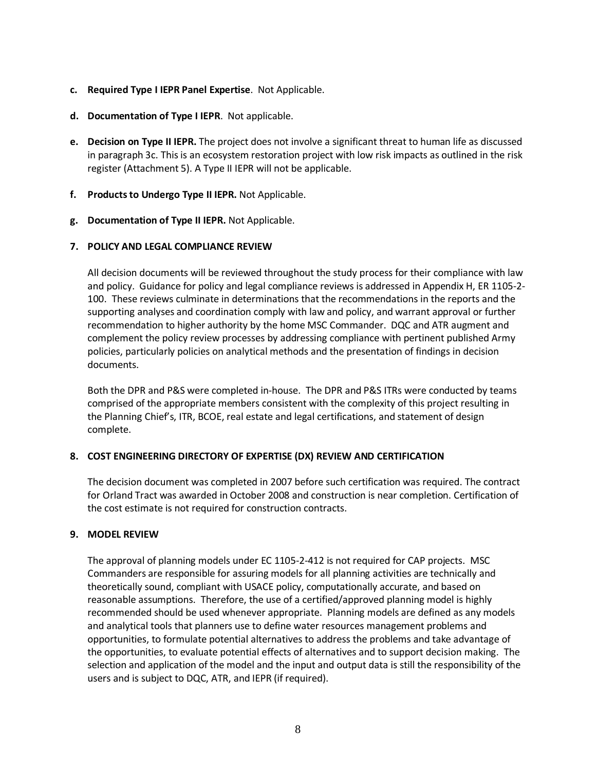- **c. Required Type I IEPR Panel Expertise**. Not Applicable.
- **d. Documentation of Type I IEPR**. Not applicable.
- <span id="page-10-0"></span>**e. Decision on Type II IEPR.** The project does not involve a significant threat to human life as discussed in paragraph 3c. This is an ecosystem restoration project with low risk impacts as outlined in the risk register (Attachment 5). A Type II IEPR will not be applicable.
- **f. Products to Undergo Type II IEPR.** Not Applicable.
- **g. Documentation of Type II IEPR.** Not Applicable.

#### **7. POLICY AND LEGAL COMPLIANCE REVIEW**

All decision documents will be reviewed throughout the study process for their compliance with law and policy. Guidance for policy and legal compliance reviews is addressed in Appendix H, ER 1105-2- 100. These reviews culminate in determinations that the recommendations in the reports and the supporting analyses and coordination comply with law and policy, and warrant approval or further recommendation to higher authority by the home MSC Commander. DQC and ATR augment and complement the policy review processes by addressing compliance with pertinent published Army policies, particularly policies on analytical methods and the presentation of findings in decision documents.

Both the DPR and P&S were completed in-house. The DPR and P&S ITRs were conducted by teams comprised of the appropriate members consistent with the complexity of this project resulting in the Planning Chief's, ITR, BCOE, real estate and legal certifications, and statement of design complete.

#### <span id="page-10-1"></span>**8. COST ENGINEERING DIRECTORY OF EXPERTISE (DX) REVIEW AND CERTIFICATION**

The decision document was completed in 2007 before such certification was required. The contract for Orland Tract was awarded in October 2008 and construction is near completion. Certification of the cost estimate is not required for construction contracts.

#### <span id="page-10-2"></span>**9. MODEL REVIEW**

The approval of planning models under EC 1105-2-412 is not required for CAP projects. MSC Commanders are responsible for assuring models for all planning activities are technically and theoretically sound, compliant with USACE policy, computationally accurate, and based on reasonable assumptions. Therefore, the use of a certified/approved planning model is highly recommended should be used whenever appropriate. Planning models are defined as any models and analytical tools that planners use to define water resources management problems and opportunities, to formulate potential alternatives to address the problems and take advantage of the opportunities, to evaluate potential effects of alternatives and to support decision making. The selection and application of the model and the input and output data is still the responsibility of the users and is subject to DQC, ATR, and IEPR (if required).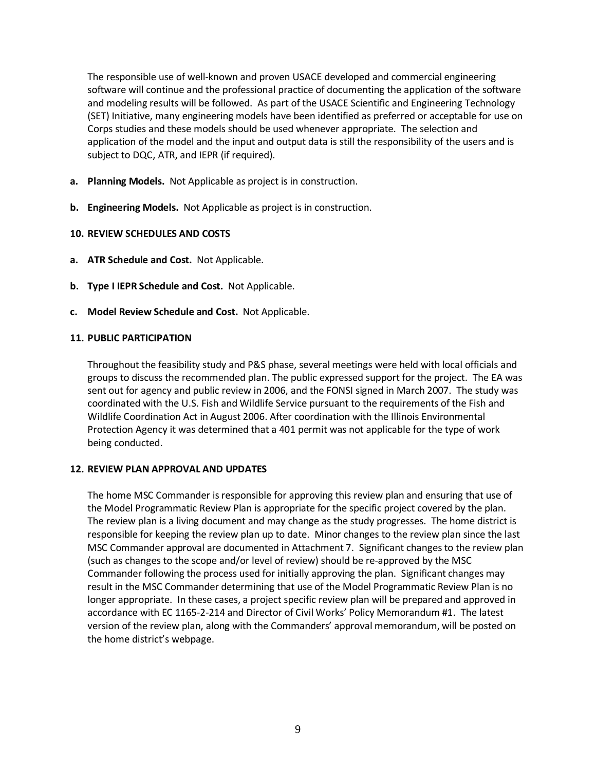The responsible use of well-known and proven USACE developed and commercial engineering software will continue and the professional practice of documenting the application of the software and modeling results will be followed. As part of the USACE Scientific and Engineering Technology (SET) Initiative, many engineering models have been identified as preferred or acceptable for use on Corps studies and these models should be used whenever appropriate. The selection and application of the model and the input and output data is still the responsibility of the users and is subject to DQC, ATR, and IEPR (if required).

- **a. Planning Models.** Not Applicable as project is in construction.
- **b. Engineering Models.** Not Applicable as project is in construction.

### <span id="page-11-0"></span>**10. REVIEW SCHEDULES AND COSTS**

- **a. ATR Schedule and Cost.** Not Applicable.
- **b. Type I IEPR Schedule and Cost.** Not Applicable.
- **c. Model Review Schedule and Cost.** Not Applicable.

#### <span id="page-11-1"></span>**11. PUBLIC PARTICIPATION**

Throughout the feasibility study and P&S phase, several meetings were held with local officials and groups to discuss the recommended plan. The public expressed support for the project. The EA was sent out for agency and public review in 2006, and the FONSI signed in March 2007. The study was coordinated with the U.S. Fish and Wildlife Service pursuant to the requirements of the Fish and Wildlife Coordination Act in August 2006. After coordination with the Illinois Environmental Protection Agency it was determined that a 401 permit was not applicable for the type of work being conducted.

#### <span id="page-11-2"></span>**12. REVIEW PLAN APPROVAL AND UPDATES**

The home MSC Commander is responsible for approving this review plan and ensuring that use of the Model Programmatic Review Plan is appropriate for the specific project covered by the plan. The review plan is a living document and may change as the study progresses. The home district is responsible for keeping the review plan up to date. Minor changes to the review plan since the last MSC Commander approval are documented in Attachment 7. Significant changes to the review plan (such as changes to the scope and/or level of review) should be re-approved by the MSC Commander following the process used for initially approving the plan. Significant changes may result in the MSC Commander determining that use of the Model Programmatic Review Plan is no longer appropriate. In these cases, a project specific review plan will be prepared and approved in accordance with EC 1165-2-214 and Director of Civil Works' Policy Memorandum #1. The latest version of the review plan, along with the Commanders' approval memorandum, will be posted on the home district's webpage.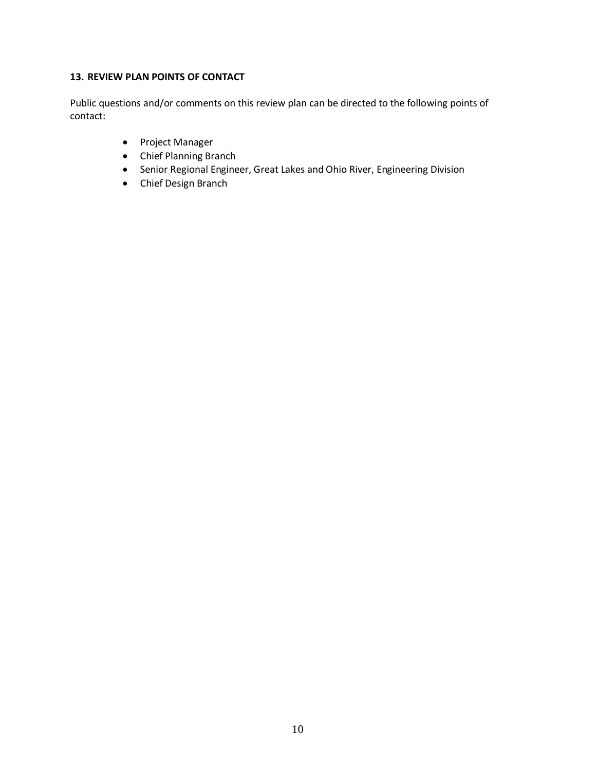### <span id="page-12-0"></span>**13. REVIEW PLAN POINTS OF CONTACT**

Public questions and/or comments on this review plan can be directed to the following points of contact:

- Project Manager
- Chief Planning Branch
- Senior Regional Engineer, Great Lakes and Ohio River, Engineering Division
- Chief Design Branch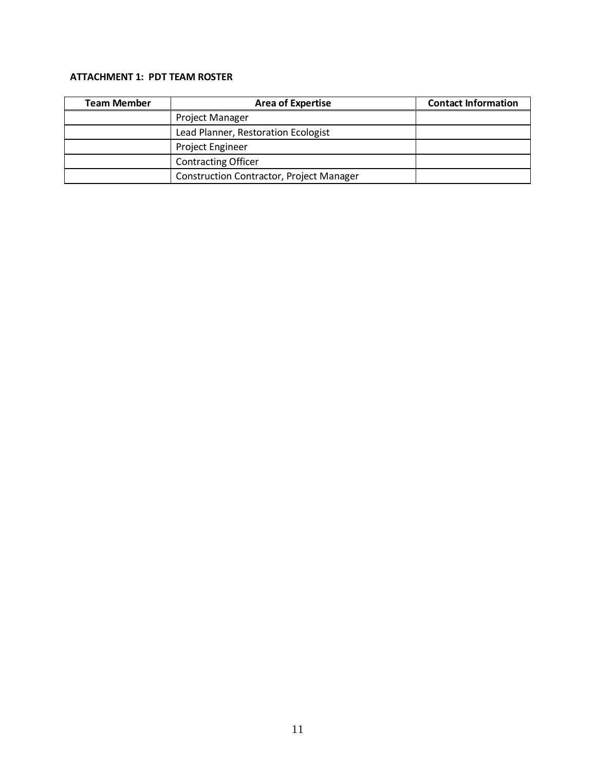## <span id="page-13-0"></span>**ATTACHMENT 1: PDT TEAM ROSTER**

| <b>Team Member</b> | <b>Area of Expertise</b>                        | <b>Contact Information</b> |
|--------------------|-------------------------------------------------|----------------------------|
|                    | Project Manager                                 |                            |
|                    | Lead Planner, Restoration Ecologist             |                            |
|                    | <b>Project Engineer</b>                         |                            |
|                    | <b>Contracting Officer</b>                      |                            |
|                    | <b>Construction Contractor, Project Manager</b> |                            |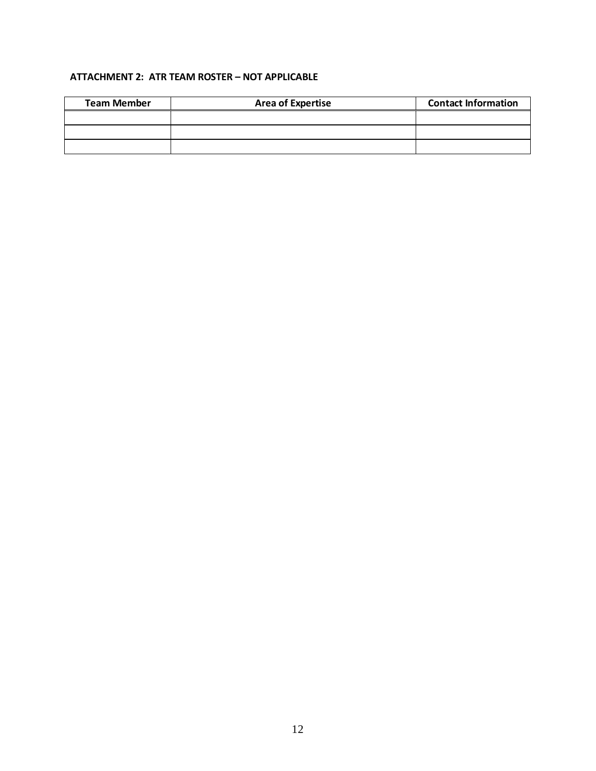## <span id="page-14-0"></span>**ATTACHMENT 2: ATR TEAM ROSTER – NOT APPLICABLE**

| <b>Team Member</b> | <b>Area of Expertise</b> | <b>Contact Information</b> |  |  |
|--------------------|--------------------------|----------------------------|--|--|
|                    |                          |                            |  |  |
|                    |                          |                            |  |  |
|                    |                          |                            |  |  |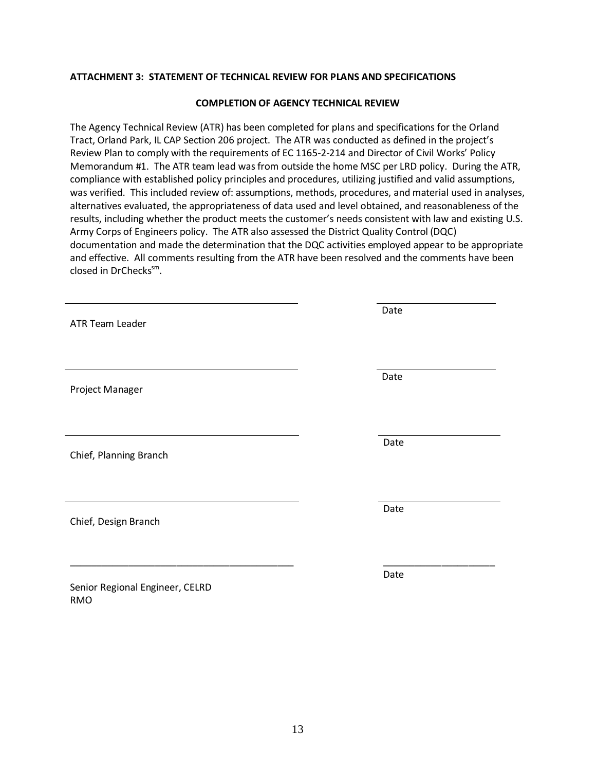#### <span id="page-15-0"></span>**ATTACHMENT 3: STATEMENT OF TECHNICAL REVIEW FOR PLANS AND SPECIFICATIONS**

#### **COMPLETION OF AGENCY TECHNICAL REVIEW**

The Agency Technical Review (ATR) has been completed for plans and specifications for the Orland Tract, Orland Park, IL CAP Section 206 project. The ATR was conducted as defined in the project's Review Plan to comply with the requirements of EC 1165-2-214 and Director of Civil Works' Policy Memorandum #1. The ATR team lead was from outside the home MSC per LRD policy. During the ATR, compliance with established policy principles and procedures, utilizing justified and valid assumptions, was verified. This included review of: assumptions, methods, procedures, and material used in analyses, alternatives evaluated, the appropriateness of data used and level obtained, and reasonableness of the results, including whether the product meets the customer's needs consistent with law and existing U.S. Army Corps of Engineers policy. The ATR also assessed the District Quality Control (DQC) documentation and made the determination that the DQC activities employed appear to be appropriate and effective. All comments resulting from the ATR have been resolved and the comments have been closed in DrChecks<sup>sm</sup>.

| ATR Team Leader                 | Date |
|---------------------------------|------|
|                                 |      |
|                                 |      |
| Project Manager                 | Date |
|                                 |      |
|                                 | Date |
| Chief, Planning Branch          |      |
|                                 |      |
|                                 | Date |
| Chief, Design Branch            |      |
|                                 |      |
| Senior Regional Engineer, CELRD | Date |
| <b>RMO</b>                      |      |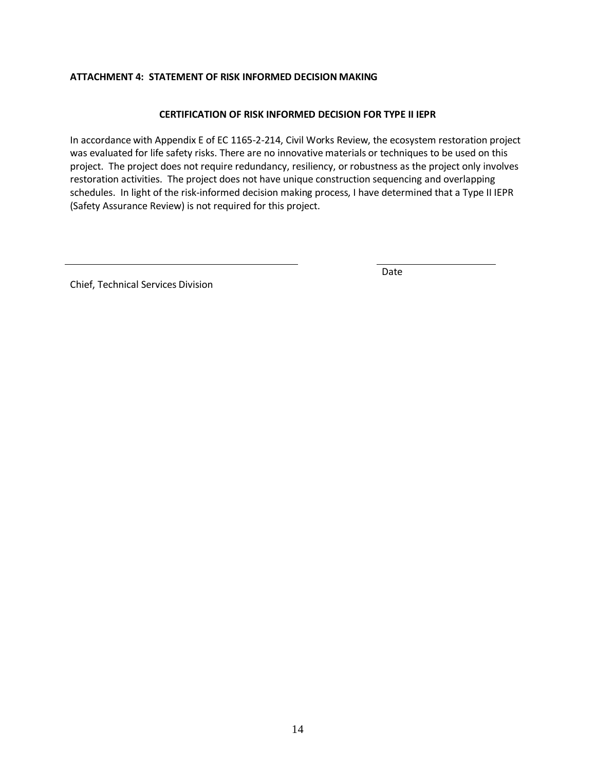### <span id="page-16-0"></span>**ATTACHMENT 4: STATEMENT OF RISK INFORMED DECISION MAKING**

#### **CERTIFICATION OF RISK INFORMED DECISION FOR TYPE II IEPR**

In accordance with Appendix E of EC 1165-2-214, Civil Works Review, the ecosystem restoration project was evaluated for life safety risks. There are no innovative materials or techniques to be used on this project. The project does not require redundancy, resiliency, or robustness as the project only involves restoration activities. The project does not have unique construction sequencing and overlapping schedules. In light of the risk-informed decision making process, I have determined that a Type II IEPR (Safety Assurance Review) is not required for this project.

Chief, Technical Services Division

Date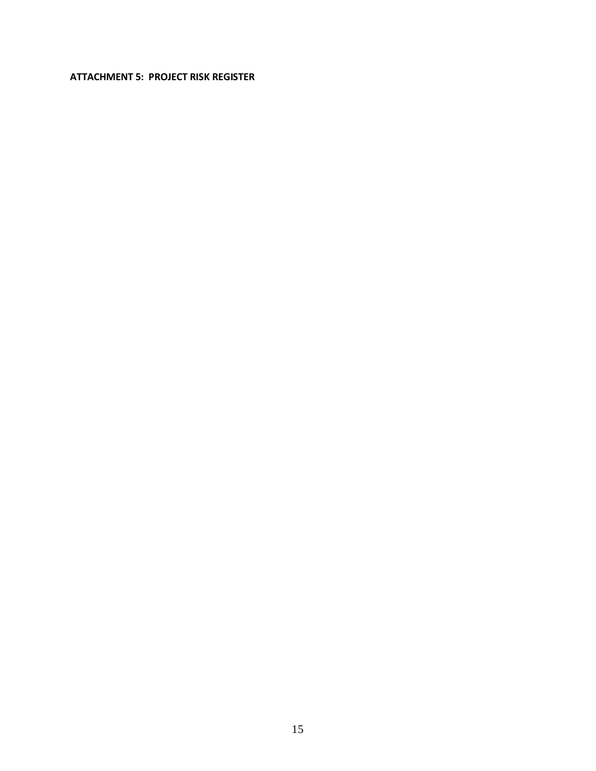### <span id="page-17-0"></span>**ATTACHMENT 5: PROJECT RISK REGISTER**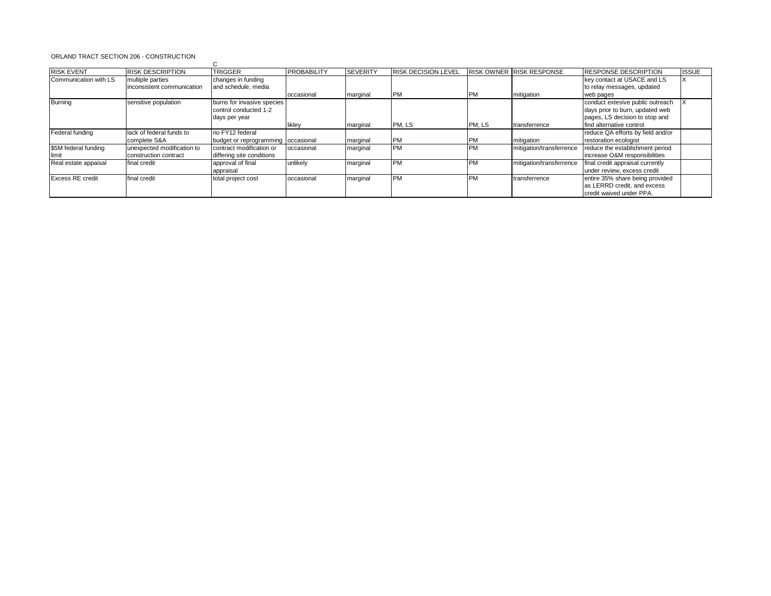#### ORLAND TRACT SECTION 206 - CONSTRUCTION

| <b>RISK EVENT</b>       | <b>RISK DESCRIPTION</b>    | <b>TRIGGER</b>                     | <b>PROBABILITY</b> | <b>SEVERITY</b> | <b>RISK DECISION LEVEL</b> |           | RISK OWNER RISK RESPONSE | <b>RESPONSE DESCRIPTION</b>       | <b>ISSUE</b> |
|-------------------------|----------------------------|------------------------------------|--------------------|-----------------|----------------------------|-----------|--------------------------|-----------------------------------|--------------|
| Communication with LS   | multiple parties           | changes in funding                 |                    |                 |                            |           |                          | key contact at USACE and LS       |              |
|                         | inconsistent communication | and schedule, media                |                    |                 |                            |           |                          | to relay messages, updated        |              |
|                         |                            |                                    | occasional         | marginal        | <b>IPM</b>                 | <b>PM</b> | mitigation               | web pages                         |              |
| <b>Burning</b>          | sensitive population       | burns for invasive species         |                    |                 |                            |           |                          | conduct extesive public outreach  |              |
|                         |                            | control conducted 1-2              |                    |                 |                            |           |                          | days prior to burn, updated web   |              |
|                         |                            | days per year                      |                    |                 |                            |           |                          | pages, LS decision to stop and    |              |
|                         |                            |                                    | likley             | marginal        | PM, LS                     | PM, LS    | transferrence            | find alternative control          |              |
| Federal funding         | lack of federal funds to   | no FY12 federal                    |                    |                 |                            |           |                          | reduce QA efforts by field and/or |              |
|                         | complete S&A               | budget or reprogramming occasional |                    | marginal        | <b>PM</b>                  | <b>PM</b> | mitigation               | restoration ecologist             |              |
| \$5M federal funding    | unexpected modification to | contract modification or           | occasional         | marginal        | <b>PM</b>                  | <b>PM</b> | mitigation/transferrence | reduce the establishment period   |              |
| llimit                  | construction contract      | differing site conditions          |                    |                 |                            |           |                          | increase O&M responsibilities     |              |
| Real estate appaisal    | final credit               | approval of final                  | unlikely           | marginal        | <b>PM</b>                  | <b>PM</b> | mitigation/transferrence | final credit appraisal currently  |              |
|                         |                            | appraisal                          |                    |                 |                            |           |                          | under review, excess credit       |              |
| <b>Excess RE credit</b> | final credit               | total project cost                 | occasional         | marginal        | <b>PM</b>                  | <b>PM</b> | transferrence            | entire 35% share being provided   |              |
|                         |                            |                                    |                    |                 |                            |           |                          | as LERRD credit, and excess       |              |
|                         |                            |                                    |                    |                 |                            |           |                          | credit waived under PPA.          |              |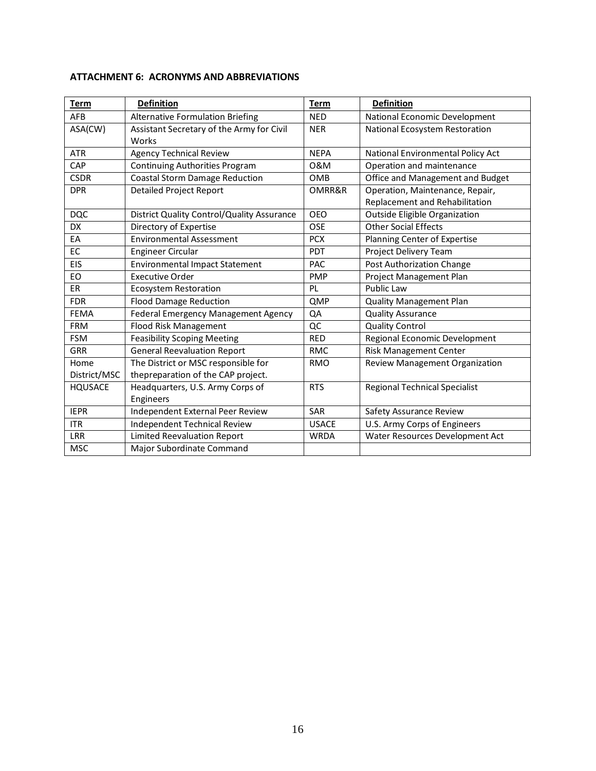| <b>Term</b>    | <b>Definition</b>                          | <b>Term</b>  | <b>Definition</b>                    |
|----------------|--------------------------------------------|--------------|--------------------------------------|
| AFB            | <b>Alternative Formulation Briefing</b>    | <b>NED</b>   | National Economic Development        |
| ASA(CW)        | Assistant Secretary of the Army for Civil  | <b>NER</b>   | National Ecosystem Restoration       |
|                | Works                                      |              |                                      |
| <b>ATR</b>     | <b>Agency Technical Review</b>             | <b>NEPA</b>  | National Environmental Policy Act    |
| CAP            | Continuing Authorities Program             | 0&M          | Operation and maintenance            |
| <b>CSDR</b>    | <b>Coastal Storm Damage Reduction</b>      | <b>OMB</b>   | Office and Management and Budget     |
| <b>DPR</b>     | <b>Detailed Project Report</b>             | OMRR&R       | Operation, Maintenance, Repair,      |
|                |                                            |              | Replacement and Rehabilitation       |
| <b>DQC</b>     | District Quality Control/Quality Assurance | <b>OEO</b>   | <b>Outside Eligible Organization</b> |
| <b>DX</b>      | Directory of Expertise                     | <b>OSE</b>   | <b>Other Social Effects</b>          |
| EA             | <b>Environmental Assessment</b>            | <b>PCX</b>   | Planning Center of Expertise         |
| EC             | <b>Engineer Circular</b>                   | PDT          | Project Delivery Team                |
| EIS            | <b>Environmental Impact Statement</b>      | PAC          | Post Authorization Change            |
| EO             | <b>Executive Order</b>                     | <b>PMP</b>   | Project Management Plan              |
| <b>ER</b>      | <b>Ecosystem Restoration</b>               | PL           | Public Law                           |
| <b>FDR</b>     | <b>Flood Damage Reduction</b>              | QMP          | <b>Quality Management Plan</b>       |
| <b>FEMA</b>    | Federal Emergency Management Agency        | QA           | <b>Quality Assurance</b>             |
| <b>FRM</b>     | <b>Flood Risk Management</b>               | QC           | <b>Quality Control</b>               |
| <b>FSM</b>     | <b>Feasibility Scoping Meeting</b>         | <b>RED</b>   | Regional Economic Development        |
| <b>GRR</b>     | <b>General Reevaluation Report</b>         | <b>RMC</b>   | <b>Risk Management Center</b>        |
| Home           | The District or MSC responsible for        | <b>RMO</b>   | Review Management Organization       |
| District/MSC   | thepreparation of the CAP project.         |              |                                      |
| <b>HQUSACE</b> | Headquarters, U.S. Army Corps of           | <b>RTS</b>   | <b>Regional Technical Specialist</b> |
|                | Engineers                                  |              |                                      |
| <b>IEPR</b>    | Independent External Peer Review           | SAR          | Safety Assurance Review              |
| <b>ITR</b>     | Independent Technical Review               | <b>USACE</b> | U.S. Army Corps of Engineers         |
| <b>LRR</b>     | <b>Limited Reevaluation Report</b>         | <b>WRDA</b>  | Water Resources Development Act      |
| <b>MSC</b>     | Major Subordinate Command                  |              |                                      |

### <span id="page-19-0"></span>**ATTACHMENT 6: ACRONYMS AND ABBREVIATIONS**